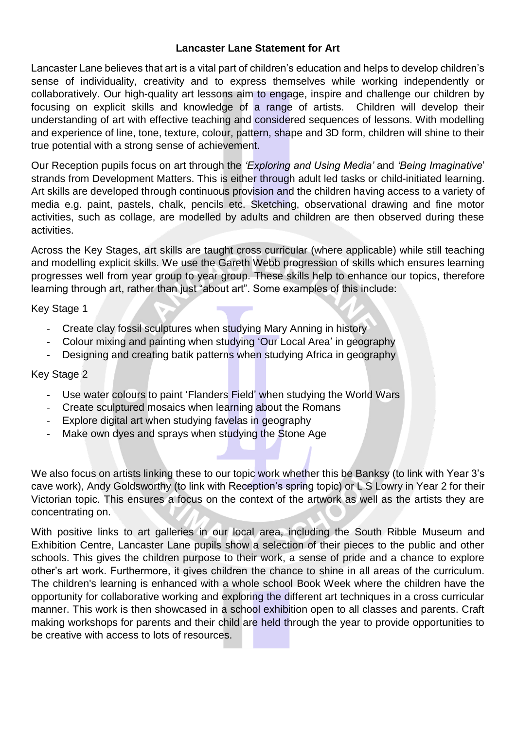## **Lancaster Lane Statement for Art**

Lancaster Lane believes that art is a vital part of children's education and helps to develop children's sense of individuality, creativity and to express themselves while working independently or collaboratively. Our high-quality art lessons aim to engage, inspire and challenge our children by focusing on explicit skills and knowledge of a range of artists. Children will develop their understanding of art with effective teaching and considered sequences of lessons. With modelling and experience of line, tone, texture, colour, pattern, shape and 3D form, children will shine to their true potential with a strong sense of achievement.

Our Reception pupils focus on art through the *'Exploring and Using Media'* and *'Being Imaginative*' strands from Development Matters. This is either through adult led tasks or child-initiated learning. Art skills are developed through continuous provision and the children having access to a variety of media e.g. paint, pastels, chalk, pencils etc. Sketching, observational drawing and fine motor activities, such as collage, are modelled by adults and children are then observed during these activities.

Across the Key Stages, art skills are taught cross curricular (where applicable) while still teaching and modelling explicit skills. We use the Gareth Webb progression of skills which ensures learning progresses well from year group to year group. These skills help to enhance our topics, therefore learning through art, rather than just "about art". Some examples of this include:

Key Stage 1

- Create clay fossil sculptures when studying Mary Anning in history
- Colour mixing and painting when studying 'Our Local Area' in geography
- Designing and creating batik patterns when studying Africa in geography

## Key Stage 2

- Use water colours to paint 'Flanders Field' when studying the World Wars
- Create sculptured mosaics when learning about the Romans
- Explore digital art when studying favelas in geography
- Make own dyes and sprays when studying the Stone Age

We also focus on artists linking these to our topic work whether this be Banksy (to link with Year 3's cave work), Andy Goldsworthy (to link with Reception's spring topic) or L S Lowry in Year 2 for their Victorian topic. This ensures a focus on the context of the artwork as well as the artists they are concentrating on.

With positive links to art galleries in our local area, including the South Ribble Museum and Exhibition Centre, Lancaster Lane pupils show a selection of their pieces to the public and other schools. This gives the children purpose to their work, a sense of pride and a chance to explore other's art work. Furthermore, it gives children the chance to shine in all areas of the curriculum. The children's learning is enhanced with a whole school Book Week where the children have the opportunity for collaborative working and exploring the different art techniques in a cross curricular manner. This work is then showcased in a school exhibition open to all classes and parents. Craft making workshops for parents and their child are held through the year to provide opportunities to be creative with access to lots of resources.